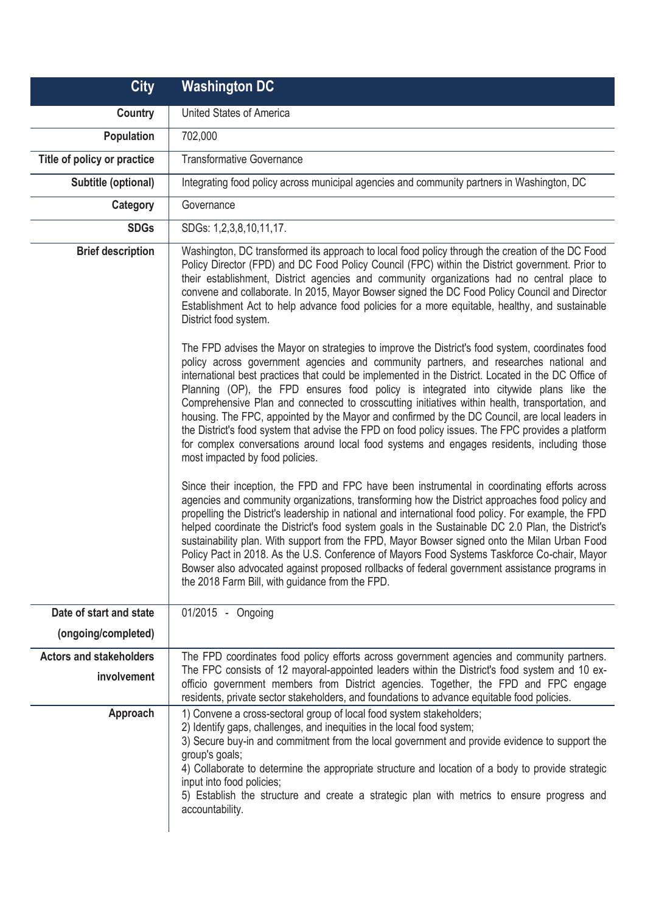| <b>City</b>                    | <b>Washington DC</b>                                                                                                                                                                                                                                                                                                                                                                                                                                                                                                                                                                                                                                                                                                                                                                                                                                                                                                                                                                                                                                                                                                                                                                                                                                                                                                                                                                                                                                                                                                                                                                                                                                                                                                                                                                                                                                                                                                                                                                                                                                                                                                                     |
|--------------------------------|------------------------------------------------------------------------------------------------------------------------------------------------------------------------------------------------------------------------------------------------------------------------------------------------------------------------------------------------------------------------------------------------------------------------------------------------------------------------------------------------------------------------------------------------------------------------------------------------------------------------------------------------------------------------------------------------------------------------------------------------------------------------------------------------------------------------------------------------------------------------------------------------------------------------------------------------------------------------------------------------------------------------------------------------------------------------------------------------------------------------------------------------------------------------------------------------------------------------------------------------------------------------------------------------------------------------------------------------------------------------------------------------------------------------------------------------------------------------------------------------------------------------------------------------------------------------------------------------------------------------------------------------------------------------------------------------------------------------------------------------------------------------------------------------------------------------------------------------------------------------------------------------------------------------------------------------------------------------------------------------------------------------------------------------------------------------------------------------------------------------------------------|
| <b>Country</b>                 | United States of America                                                                                                                                                                                                                                                                                                                                                                                                                                                                                                                                                                                                                                                                                                                                                                                                                                                                                                                                                                                                                                                                                                                                                                                                                                                                                                                                                                                                                                                                                                                                                                                                                                                                                                                                                                                                                                                                                                                                                                                                                                                                                                                 |
| <b>Population</b>              | 702,000                                                                                                                                                                                                                                                                                                                                                                                                                                                                                                                                                                                                                                                                                                                                                                                                                                                                                                                                                                                                                                                                                                                                                                                                                                                                                                                                                                                                                                                                                                                                                                                                                                                                                                                                                                                                                                                                                                                                                                                                                                                                                                                                  |
| Title of policy or practice    | <b>Transformative Governance</b>                                                                                                                                                                                                                                                                                                                                                                                                                                                                                                                                                                                                                                                                                                                                                                                                                                                                                                                                                                                                                                                                                                                                                                                                                                                                                                                                                                                                                                                                                                                                                                                                                                                                                                                                                                                                                                                                                                                                                                                                                                                                                                         |
| Subtitle (optional)            | Integrating food policy across municipal agencies and community partners in Washington, DC                                                                                                                                                                                                                                                                                                                                                                                                                                                                                                                                                                                                                                                                                                                                                                                                                                                                                                                                                                                                                                                                                                                                                                                                                                                                                                                                                                                                                                                                                                                                                                                                                                                                                                                                                                                                                                                                                                                                                                                                                                               |
| Category                       | Governance                                                                                                                                                                                                                                                                                                                                                                                                                                                                                                                                                                                                                                                                                                                                                                                                                                                                                                                                                                                                                                                                                                                                                                                                                                                                                                                                                                                                                                                                                                                                                                                                                                                                                                                                                                                                                                                                                                                                                                                                                                                                                                                               |
| <b>SDGs</b>                    | SDGs: 1,2,3,8,10,11,17.                                                                                                                                                                                                                                                                                                                                                                                                                                                                                                                                                                                                                                                                                                                                                                                                                                                                                                                                                                                                                                                                                                                                                                                                                                                                                                                                                                                                                                                                                                                                                                                                                                                                                                                                                                                                                                                                                                                                                                                                                                                                                                                  |
| <b>Brief description</b>       | Washington, DC transformed its approach to local food policy through the creation of the DC Food<br>Policy Director (FPD) and DC Food Policy Council (FPC) within the District government. Prior to<br>their establishment, District agencies and community organizations had no central place to<br>convene and collaborate. In 2015, Mayor Bowser signed the DC Food Policy Council and Director<br>Establishment Act to help advance food policies for a more equitable, healthy, and sustainable<br>District food system.<br>The FPD advises the Mayor on strategies to improve the District's food system, coordinates food<br>policy across government agencies and community partners, and researches national and<br>international best practices that could be implemented in the District. Located in the DC Office of<br>Planning (OP), the FPD ensures food policy is integrated into citywide plans like the<br>Comprehensive Plan and connected to crosscutting initiatives within health, transportation, and<br>housing. The FPC, appointed by the Mayor and confirmed by the DC Council, are local leaders in<br>the District's food system that advise the FPD on food policy issues. The FPC provides a platform<br>for complex conversations around local food systems and engages residents, including those<br>most impacted by food policies.<br>Since their inception, the FPD and FPC have been instrumental in coordinating efforts across<br>agencies and community organizations, transforming how the District approaches food policy and<br>propelling the District's leadership in national and international food policy. For example, the FPD<br>helped coordinate the District's food system goals in the Sustainable DC 2.0 Plan, the District's<br>sustainability plan. With support from the FPD, Mayor Bowser signed onto the Milan Urban Food<br>Policy Pact in 2018. As the U.S. Conference of Mayors Food Systems Taskforce Co-chair, Mayor<br>Bowser also advocated against proposed rollbacks of federal government assistance programs in<br>the 2018 Farm Bill, with guidance from the FPD. |
| Date of start and state        | 01/2015 - Ongoing                                                                                                                                                                                                                                                                                                                                                                                                                                                                                                                                                                                                                                                                                                                                                                                                                                                                                                                                                                                                                                                                                                                                                                                                                                                                                                                                                                                                                                                                                                                                                                                                                                                                                                                                                                                                                                                                                                                                                                                                                                                                                                                        |
| (ongoing/completed)            |                                                                                                                                                                                                                                                                                                                                                                                                                                                                                                                                                                                                                                                                                                                                                                                                                                                                                                                                                                                                                                                                                                                                                                                                                                                                                                                                                                                                                                                                                                                                                                                                                                                                                                                                                                                                                                                                                                                                                                                                                                                                                                                                          |
| <b>Actors and stakeholders</b> | The FPD coordinates food policy efforts across government agencies and community partners.                                                                                                                                                                                                                                                                                                                                                                                                                                                                                                                                                                                                                                                                                                                                                                                                                                                                                                                                                                                                                                                                                                                                                                                                                                                                                                                                                                                                                                                                                                                                                                                                                                                                                                                                                                                                                                                                                                                                                                                                                                               |
| involvement                    | The FPC consists of 12 mayoral-appointed leaders within the District's food system and 10 ex-<br>officio government members from District agencies. Together, the FPD and FPC engage<br>residents, private sector stakeholders, and foundations to advance equitable food policies.                                                                                                                                                                                                                                                                                                                                                                                                                                                                                                                                                                                                                                                                                                                                                                                                                                                                                                                                                                                                                                                                                                                                                                                                                                                                                                                                                                                                                                                                                                                                                                                                                                                                                                                                                                                                                                                      |
| Approach                       | 1) Convene a cross-sectoral group of local food system stakeholders;<br>2) Identify gaps, challenges, and inequities in the local food system;<br>3) Secure buy-in and commitment from the local government and provide evidence to support the<br>group's goals;<br>4) Collaborate to determine the appropriate structure and location of a body to provide strategic<br>input into food policies;<br>5) Establish the structure and create a strategic plan with metrics to ensure progress and<br>accountability.                                                                                                                                                                                                                                                                                                                                                                                                                                                                                                                                                                                                                                                                                                                                                                                                                                                                                                                                                                                                                                                                                                                                                                                                                                                                                                                                                                                                                                                                                                                                                                                                                     |